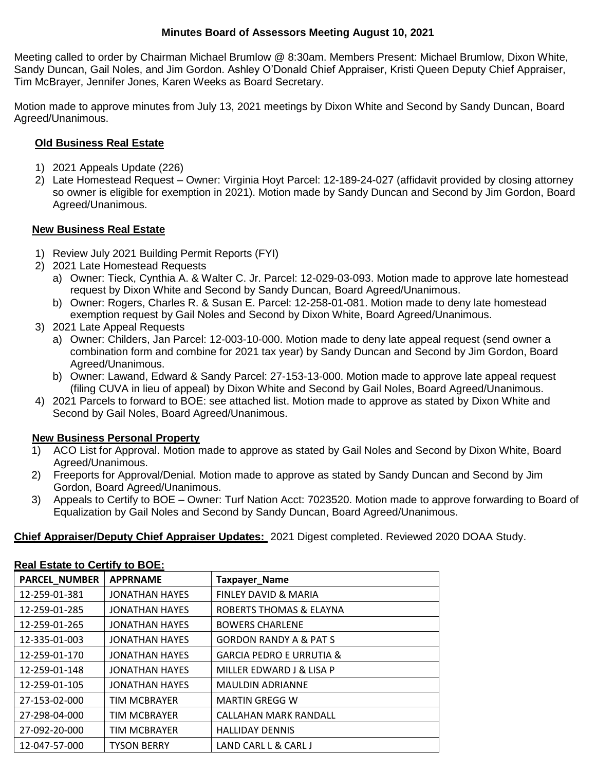## **Minutes Board of Assessors Meeting August 10, 2021**

Meeting called to order by Chairman Michael Brumlow @ 8:30am. Members Present: Michael Brumlow, Dixon White, Sandy Duncan, Gail Noles, and Jim Gordon. Ashley O'Donald Chief Appraiser, Kristi Queen Deputy Chief Appraiser, Tim McBrayer, Jennifer Jones, Karen Weeks as Board Secretary.

Motion made to approve minutes from July 13, 2021 meetings by Dixon White and Second by Sandy Duncan, Board Agreed/Unanimous.

## **Old Business Real Estate**

- 1) 2021 Appeals Update (226)
- 2) Late Homestead Request Owner: Virginia Hoyt Parcel: 12-189-24-027 (affidavit provided by closing attorney so owner is eligible for exemption in 2021). Motion made by Sandy Duncan and Second by Jim Gordon, Board Agreed/Unanimous.

## **New Business Real Estate**

- 1) Review July 2021 Building Permit Reports (FYI)
- 2) 2021 Late Homestead Requests
	- a) Owner: Tieck, Cynthia A. & Walter C. Jr. Parcel: 12-029-03-093. Motion made to approve late homestead request by Dixon White and Second by Sandy Duncan, Board Agreed/Unanimous.
	- b) Owner: Rogers, Charles R. & Susan E. Parcel: 12-258-01-081. Motion made to deny late homestead exemption request by Gail Noles and Second by Dixon White, Board Agreed/Unanimous.
- 3) 2021 Late Appeal Requests
	- a) Owner: Childers, Jan Parcel: 12-003-10-000. Motion made to deny late appeal request (send owner a combination form and combine for 2021 tax year) by Sandy Duncan and Second by Jim Gordon, Board Agreed/Unanimous.
	- b) Owner: Lawand, Edward & Sandy Parcel: 27-153-13-000. Motion made to approve late appeal request (filing CUVA in lieu of appeal) by Dixon White and Second by Gail Noles, Board Agreed/Unanimous.
- 4) 2021 Parcels to forward to BOE: see attached list. Motion made to approve as stated by Dixon White and Second by Gail Noles, Board Agreed/Unanimous.

# **New Business Personal Property**

- 1) ACO List for Approval. Motion made to approve as stated by Gail Noles and Second by Dixon White, Board Agreed/Unanimous.
- 2) Freeports for Approval/Denial. Motion made to approve as stated by Sandy Duncan and Second by Jim Gordon, Board Agreed/Unanimous.
- 3) Appeals to Certify to BOE Owner: Turf Nation Acct: 7023520. Motion made to approve forwarding to Board of Equalization by Gail Noles and Second by Sandy Duncan, Board Agreed/Unanimous.

# **Chief Appraiser/Deputy Chief Appraiser Updates:** 2021 Digest completed. Reviewed 2020 DOAA Study.

#### **Real Estate to Certify to BOE:**

| <b>PARCEL_NUMBER</b> | <b>APPRNAME</b>       | <b>Taxpayer_Name</b>                |
|----------------------|-----------------------|-------------------------------------|
| 12-259-01-381        | <b>JONATHAN HAYES</b> | FINLEY DAVID & MARIA                |
| 12-259-01-285        | <b>JONATHAN HAYES</b> | ROBERTS THOMAS & ELAYNA             |
| 12-259-01-265        | <b>JONATHAN HAYES</b> | <b>BOWERS CHARLENE</b>              |
| 12-335-01-003        | <b>JONATHAN HAYES</b> | <b>GORDON RANDY A &amp; PAT S</b>   |
| 12-259-01-170        | <b>JONATHAN HAYES</b> | <b>GARCIA PEDRO E URRUTIA &amp;</b> |
| 12-259-01-148        | <b>JONATHAN HAYES</b> | MILLER EDWARD J & LISA P            |
| 12-259-01-105        | <b>JONATHAN HAYES</b> | <b>MAULDIN ADRIANNE</b>             |
| 27-153-02-000        | <b>TIM MCBRAYER</b>   | <b>MARTIN GREGG W</b>               |
| 27-298-04-000        | <b>TIM MCBRAYER</b>   | CALLAHAN MARK RANDALL               |
| 27-092-20-000        | <b>TIM MCBRAYER</b>   | <b>HALLIDAY DENNIS</b>              |
| 12-047-57-000        | <b>TYSON BERRY</b>    | LAND CARL L & CARL J                |